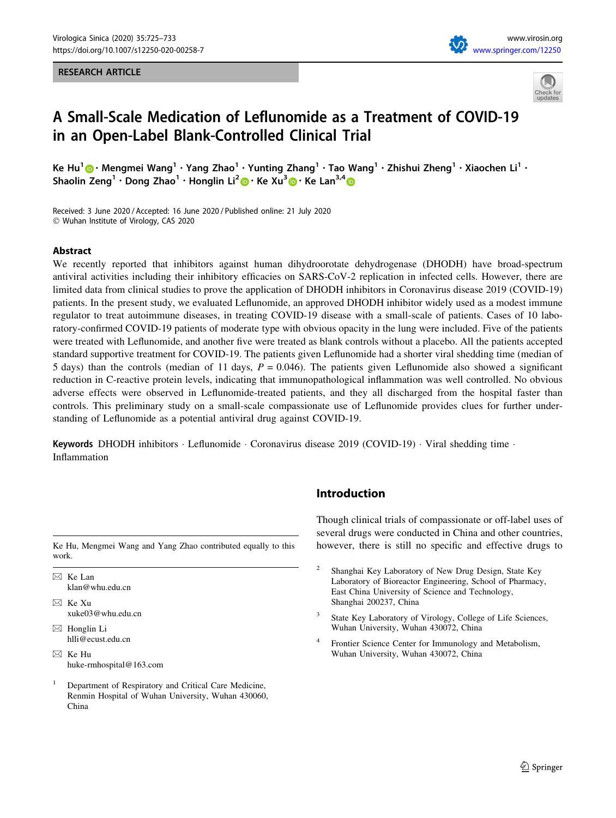#### RESEARCH ARTICLE





# A Small-Scale Medication of Leflunomide as a Treatment of COVID-19 in an Open-Label Blank-Controlled Clinical Trial

Ke Hu<sup>1</sup>  $\bigcirc$  • Mengmei Wang<sup>1</sup> • Yang Zhao<sup>1</sup> • Yunting Zhang<sup>1</sup> • Tao Wang<sup>1</sup> • Zhishui Zheng<sup>1</sup> • Xiaochen Li<sup>1</sup> • Shaolin Zeng<sup>1</sup> · Dong Zhao<sup>1</sup> · Honglin Li<sup>2</sup> • Ke Xu<sup>3</sup> • Ke Lan<sup>3,4</sup> •

Received: 3 June 2020 / Accepted: 16 June 2020 / Published online: 21 July 2020 - Wuhan Institute of Virology, CAS 2020

### Abstract

We recently reported that inhibitors against human dihydroorotate dehydrogenase (DHODH) have broad-spectrum antiviral activities including their inhibitory efficacies on SARS-CoV-2 replication in infected cells. However, there are limited data from clinical studies to prove the application of DHODH inhibitors in Coronavirus disease 2019 (COVID-19) patients. In the present study, we evaluated Leflunomide, an approved DHODH inhibitor widely used as a modest immune regulator to treat autoimmune diseases, in treating COVID-19 disease with a small-scale of patients. Cases of 10 laboratory-confirmed COVID-19 patients of moderate type with obvious opacity in the lung were included. Five of the patients were treated with Leflunomide, and another five were treated as blank controls without a placebo. All the patients accepted standard supportive treatment for COVID-19. The patients given Leflunomide had a shorter viral shedding time (median of 5 days) than the controls (median of 11 days,  $P = 0.046$ ). The patients given Leflunomide also showed a significant reduction in C-reactive protein levels, indicating that immunopathological inflammation was well controlled. No obvious adverse effects were observed in Leflunomide-treated patients, and they all discharged from the hospital faster than controls. This preliminary study on a small-scale compassionate use of Leflunomide provides clues for further understanding of Leflunomide as a potential antiviral drug against COVID-19.

Keywords DHODH inhibitors · Leflunomide · Coronavirus disease 2019 (COVID-19) · Viral shedding time · Inflammation

work.

 $\boxtimes$  Ke Lan klan@whu.edu.cn

- $\boxtimes$  Ke Xu xuke03@whu.edu.cn
- $\boxtimes$  Honglin Li hlli@ecust.edu.cn
- $\boxtimes$  Ke Hu huke-rmhospital@163.com
- <sup>1</sup> Department of Respiratory and Critical Care Medicine, Renmin Hospital of Wuhan University, Wuhan 430060, China

# Introduction

Though clinical trials of compassionate or off-label uses of several drugs were conducted in China and other countries, Ke Hu, Mengmei Wang and Yang Zhao contributed equally to this however, there is still no specific and effective drugs to

- <sup>2</sup> Shanghai Key Laboratory of New Drug Design, State Key Laboratory of Bioreactor Engineering, School of Pharmacy, East China University of Science and Technology, Shanghai 200237, China
- State Key Laboratory of Virology, College of Life Sciences, Wuhan University, Wuhan 430072, China
- Frontier Science Center for Immunology and Metabolism, Wuhan University, Wuhan 430072, China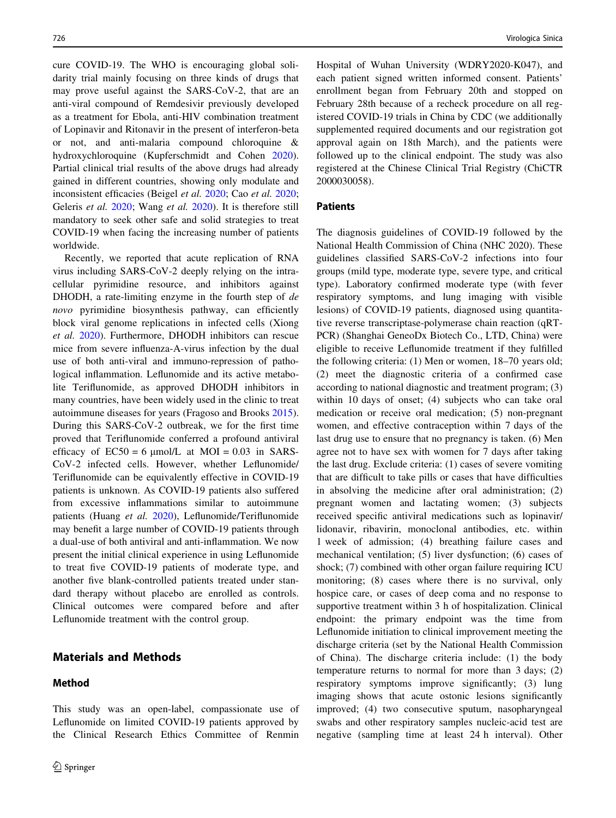cure COVID-19. The WHO is encouraging global solidarity trial mainly focusing on three kinds of drugs that may prove useful against the SARS-CoV-2, that are an anti-viral compound of Remdesivir previously developed as a treatment for Ebola, anti-HIV combination treatment of Lopinavir and Ritonavir in the present of interferon-beta or not, and anti-malaria compound chloroquine & hydroxychloroquine (Kupferschmidt and Cohen [2020](#page-7-0)). Partial clinical trial results of the above drugs had already gained in different countries, showing only modulate and inconsistent efficacies (Beigel et al. [2020](#page-7-0); Cao et al. [2020](#page-7-0); Geleris et al. [2020;](#page-7-0) Wang et al. [2020\)](#page-8-0). It is therefore still mandatory to seek other safe and solid strategies to treat COVID-19 when facing the increasing number of patients worldwide.

Recently, we reported that acute replication of RNA virus including SARS-CoV-2 deeply relying on the intracellular pyrimidine resource, and inhibitors against DHODH, a rate-limiting enzyme in the fourth step of de novo pyrimidine biosynthesis pathway, can efficiently block viral genome replications in infected cells (Xiong et al. [2020\)](#page-8-0). Furthermore, DHODH inhibitors can rescue mice from severe influenza-A-virus infection by the dual use of both anti-viral and immuno-repression of pathological inflammation. Leflunomide and its active metabolite Teriflunomide, as approved DHODH inhibitors in many countries, have been widely used in the clinic to treat autoimmune diseases for years (Fragoso and Brooks [2015](#page-7-0)). During this SARS-CoV-2 outbreak, we for the first time proved that Teriflunomide conferred a profound antiviral efficacy of  $EC50 = 6 \mu mol/L$  at  $MOI = 0.03$  in SARS-CoV-2 infected cells. However, whether Leflunomide/ Teriflunomide can be equivalently effective in COVID-19 patients is unknown. As COVID-19 patients also suffered from excessive inflammations similar to autoimmune patients (Huang et al. [2020\)](#page-7-0), Leflunomide/Teriflunomide may benefit a large number of COVID-19 patients through a dual-use of both antiviral and anti-inflammation. We now present the initial clinical experience in using Leflunomide to treat five COVID-19 patients of moderate type, and another five blank-controlled patients treated under standard therapy without placebo are enrolled as controls. Clinical outcomes were compared before and after Leflunomide treatment with the control group.

## Materials and Methods

# Method

This study was an open-label, compassionate use of Leflunomide on limited COVID-19 patients approved by the Clinical Research Ethics Committee of Renmin Hospital of Wuhan University (WDRY2020-K047), and each patient signed written informed consent. Patients' enrollment began from February 20th and stopped on February 28th because of a recheck procedure on all registered COVID-19 trials in China by CDC (we additionally supplemented required documents and our registration got approval again on 18th March), and the patients were followed up to the clinical endpoint. The study was also registered at the Chinese Clinical Trial Registry (ChiCTR 2000030058).

## Patients

The diagnosis guidelines of COVID-19 followed by the National Health Commission of China (NHC 2020). These guidelines classified SARS-CoV-2 infections into four groups (mild type, moderate type, severe type, and critical type). Laboratory confirmed moderate type (with fever respiratory symptoms, and lung imaging with visible lesions) of COVID-19 patients, diagnosed using quantitative reverse transcriptase-polymerase chain reaction (qRT-PCR) (Shanghai GeneoDx Biotech Co., LTD, China) were eligible to receive Leflunomide treatment if they fulfilled the following criteria: (1) Men or women, 18–70 years old; (2) meet the diagnostic criteria of a confirmed case according to national diagnostic and treatment program; (3) within 10 days of onset; (4) subjects who can take oral medication or receive oral medication; (5) non-pregnant women, and effective contraception within 7 days of the last drug use to ensure that no pregnancy is taken. (6) Men agree not to have sex with women for 7 days after taking the last drug. Exclude criteria: (1) cases of severe vomiting that are difficult to take pills or cases that have difficulties in absolving the medicine after oral administration; (2) pregnant women and lactating women; (3) subjects received specific antiviral medications such as lopinavir/ lidonavir, ribavirin, monoclonal antibodies, etc. within 1 week of admission; (4) breathing failure cases and mechanical ventilation; (5) liver dysfunction; (6) cases of shock; (7) combined with other organ failure requiring ICU monitoring; (8) cases where there is no survival, only hospice care, or cases of deep coma and no response to supportive treatment within 3 h of hospitalization. Clinical endpoint: the primary endpoint was the time from Leflunomide initiation to clinical improvement meeting the discharge criteria (set by the National Health Commission of China). The discharge criteria include: (1) the body temperature returns to normal for more than 3 days; (2) respiratory symptoms improve significantly; (3) lung imaging shows that acute ostonic lesions significantly improved; (4) two consecutive sputum, nasopharyngeal swabs and other respiratory samples nucleic-acid test are negative (sampling time at least 24 h interval). Other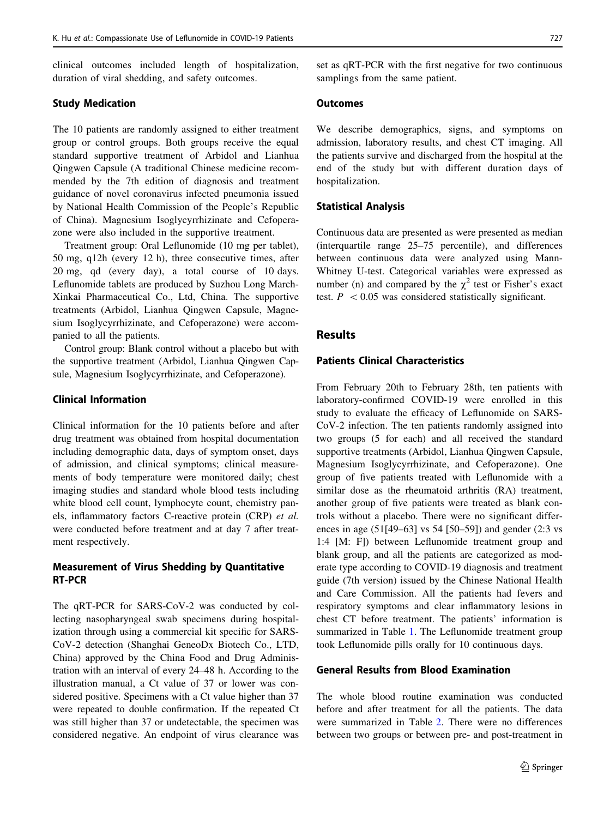clinical outcomes included length of hospitalization, duration of viral shedding, and safety outcomes.

#### Study Medication

The 10 patients are randomly assigned to either treatment group or control groups. Both groups receive the equal standard supportive treatment of Arbidol and Lianhua Qingwen Capsule (A traditional Chinese medicine recommended by the 7th edition of diagnosis and treatment guidance of novel coronavirus infected pneumonia issued by National Health Commission of the People's Republic of China). Magnesium Isoglycyrrhizinate and Cefoperazone were also included in the supportive treatment.

Treatment group: Oral Leflunomide (10 mg per tablet), 50 mg, q12h (every 12 h), three consecutive times, after 20 mg, qd (every day), a total course of 10 days. Leflunomide tablets are produced by Suzhou Long March-Xinkai Pharmaceutical Co., Ltd, China. The supportive treatments (Arbidol, Lianhua Qingwen Capsule, Magnesium Isoglycyrrhizinate, and Cefoperazone) were accompanied to all the patients.

Control group: Blank control without a placebo but with the supportive treatment (Arbidol, Lianhua Qingwen Capsule, Magnesium Isoglycyrrhizinate, and Cefoperazone).

# Clinical Information

Clinical information for the 10 patients before and after drug treatment was obtained from hospital documentation including demographic data, days of symptom onset, days of admission, and clinical symptoms; clinical measurements of body temperature were monitored daily; chest imaging studies and standard whole blood tests including white blood cell count, lymphocyte count, chemistry panels, inflammatory factors C-reactive protein (CRP) et al. were conducted before treatment and at day 7 after treatment respectively.

# Measurement of Virus Shedding by Quantitative RT-PCR

The qRT-PCR for SARS-CoV-2 was conducted by collecting nasopharyngeal swab specimens during hospitalization through using a commercial kit specific for SARS-CoV-2 detection (Shanghai GeneoDx Biotech Co., LTD, China) approved by the China Food and Drug Administration with an interval of every 24–48 h. According to the illustration manual, a Ct value of 37 or lower was considered positive. Specimens with a Ct value higher than 37 were repeated to double confirmation. If the repeated Ct was still higher than 37 or undetectable, the specimen was considered negative. An endpoint of virus clearance was set as qRT-PCR with the first negative for two continuous samplings from the same patient.

#### **Outcomes**

We describe demographics, signs, and symptoms on admission, laboratory results, and chest CT imaging. All the patients survive and discharged from the hospital at the end of the study but with different duration days of hospitalization.

#### Statistical Analysis

Continuous data are presented as were presented as median (interquartile range 25–75 percentile), and differences between continuous data were analyzed using Mann-Whitney U-test. Categorical variables were expressed as number (n) and compared by the  $\chi^2$  test or Fisher's exact test.  $P \leq 0.05$  was considered statistically significant.

# Results

# Patients Clinical Characteristics

From February 20th to February 28th, ten patients with laboratory-confirmed COVID-19 were enrolled in this study to evaluate the efficacy of Leflunomide on SARS-CoV-2 infection. The ten patients randomly assigned into two groups (5 for each) and all received the standard supportive treatments (Arbidol, Lianhua Qingwen Capsule, Magnesium Isoglycyrrhizinate, and Cefoperazone). One group of five patients treated with Leflunomide with a similar dose as the rheumatoid arthritis (RA) treatment, another group of five patients were treated as blank controls without a placebo. There were no significant differences in age (51[49–63] vs 54 [50–59]) and gender (2:3 vs 1:4 [M: F]) between Leflunomide treatment group and blank group, and all the patients are categorized as moderate type according to COVID-19 diagnosis and treatment guide (7th version) issued by the Chinese National Health and Care Commission. All the patients had fevers and respiratory symptoms and clear inflammatory lesions in chest CT before treatment. The patients' information is summarized in Table [1.](#page-3-0) The Leflunomide treatment group took Leflunomide pills orally for 10 continuous days.

# General Results from Blood Examination

The whole blood routine examination was conducted before and after treatment for all the patients. The data were summarized in Table [2.](#page-4-0) There were no differences between two groups or between pre- and post-treatment in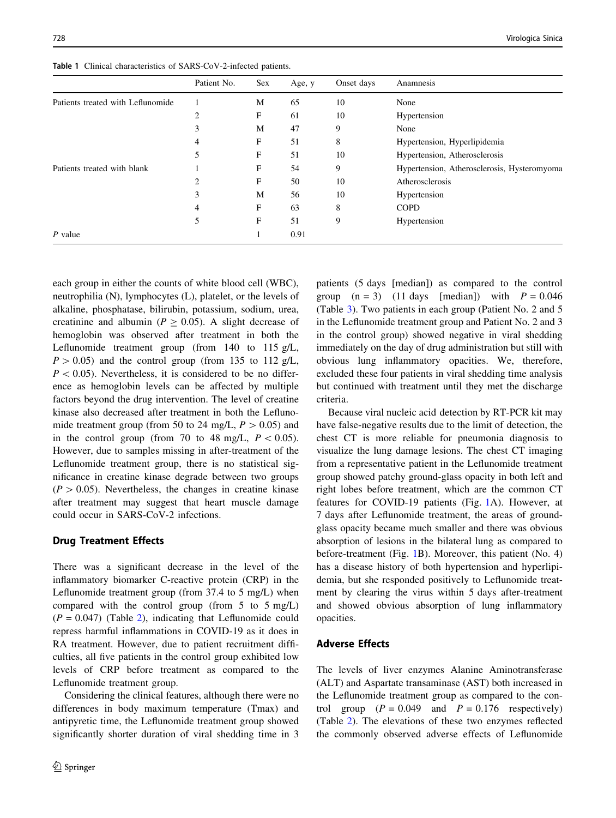<span id="page-3-0"></span>Table 1 Clinical characteristics of SARS-CoV-2-infected patients.

|                                   | Patient No. | <b>Sex</b> | Age, y | Onset days | Anamnesis                                   |
|-----------------------------------|-------------|------------|--------|------------|---------------------------------------------|
| Patients treated with Leflunomide |             | M          | 65     | 10         | None                                        |
|                                   | 2           | F          | 61     | 10         | Hypertension                                |
|                                   | 3           | M          | 47     | 9          | None                                        |
|                                   | 4           | F          | 51     | 8          | Hypertension, Hyperlipidemia                |
|                                   | 5           | F          | 51     | 10         | Hypertension, Atherosclerosis               |
| Patients treated with blank       |             | F          | 54     | 9          | Hypertension, Atherosclerosis, Hysteromyoma |
|                                   | 2           | F          | 50     | 10         | Atherosclerosis                             |
|                                   | 3           | M          | 56     | 10         | Hypertension                                |
|                                   | 4           | F          | 63     | 8          | <b>COPD</b>                                 |
|                                   | 5           | F          | 51     | 9          | Hypertension                                |
| $P$ value                         |             |            | 0.91   |            |                                             |

each group in either the counts of white blood cell (WBC), neutrophilia (N), lymphocytes (L), platelet, or the levels of alkaline, phosphatase, bilirubin, potassium, sodium, urea, creatinine and albumin ( $P \ge 0.05$ ). A slight decrease of hemoglobin was observed after treatment in both the Leflunomide treatment group (from 140 to 115 g/L,  $P > 0.05$ ) and the control group (from 135 to 112 g/L,  $P < 0.05$ ). Nevertheless, it is considered to be no difference as hemoglobin levels can be affected by multiple factors beyond the drug intervention. The level of creatine kinase also decreased after treatment in both the Leflunomide treatment group (from 50 to 24 mg/L,  $P > 0.05$ ) and in the control group (from 70 to 48 mg/L,  $P < 0.05$ ). However, due to samples missing in after-treatment of the Leflunomide treatment group, there is no statistical significance in creatine kinase degrade between two groups  $(P > 0.05)$ . Nevertheless, the changes in creatine kinase after treatment may suggest that heart muscle damage could occur in SARS-CoV-2 infections.

## Drug Treatment Effects

There was a significant decrease in the level of the inflammatory biomarker C-reactive protein (CRP) in the Leflunomide treatment group (from 37.4 to 5 mg/L) when compared with the control group (from 5 to 5 mg/L)  $(P = 0.047)$  (Table [2](#page-4-0)), indicating that Leflunomide could repress harmful inflammations in COVID-19 as it does in RA treatment. However, due to patient recruitment difficulties, all five patients in the control group exhibited low levels of CRP before treatment as compared to the Leflunomide treatment group.

Considering the clinical features, although there were no differences in body maximum temperature (Tmax) and antipyretic time, the Leflunomide treatment group showed significantly shorter duration of viral shedding time in 3 patients (5 days [median]) as compared to the control group  $(n = 3)$  (11 days [median]) with  $P = 0.046$ (Table [3\)](#page-5-0). Two patients in each group (Patient No. 2 and 5 in the Leflunomide treatment group and Patient No. 2 and 3 in the control group) showed negative in viral shedding immediately on the day of drug administration but still with obvious lung inflammatory opacities. We, therefore, excluded these four patients in viral shedding time analysis but continued with treatment until they met the discharge criteria.

Because viral nucleic acid detection by RT-PCR kit may have false-negative results due to the limit of detection, the chest CT is more reliable for pneumonia diagnosis to visualize the lung damage lesions. The chest CT imaging from a representative patient in the Leflunomide treatment group showed patchy ground-glass opacity in both left and right lobes before treatment, which are the common CT features for COVID-19 patients (Fig. [1](#page-5-0)A). However, at 7 days after Leflunomide treatment, the areas of groundglass opacity became much smaller and there was obvious absorption of lesions in the bilateral lung as compared to before-treatment (Fig. [1B](#page-5-0)). Moreover, this patient (No. 4) has a disease history of both hypertension and hyperlipidemia, but she responded positively to Leflunomide treatment by clearing the virus within 5 days after-treatment and showed obvious absorption of lung inflammatory opacities.

# Adverse Effects

The levels of liver enzymes Alanine Aminotransferase (ALT) and Aspartate transaminase (AST) both increased in the Leflunomide treatment group as compared to the control group  $(P = 0.049$  and  $P = 0.176$  respectively) (Table [2\)](#page-4-0). The elevations of these two enzymes reflected the commonly observed adverse effects of Leflunomide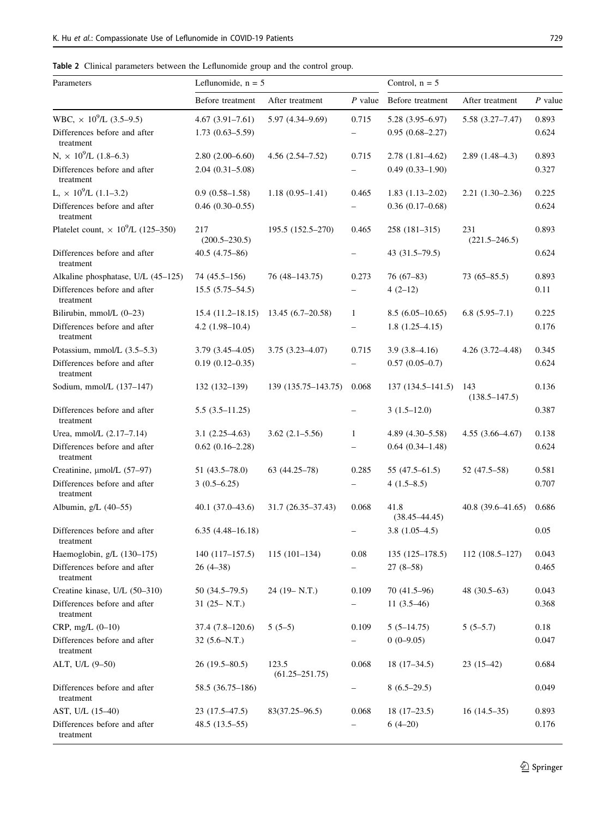<span id="page-4-0"></span>

|  |  |  |  |  | Table 2 Clinical parameters between the Leflunomide group and the control group. |  |  |  |  |  |
|--|--|--|--|--|----------------------------------------------------------------------------------|--|--|--|--|--|
|--|--|--|--|--|----------------------------------------------------------------------------------|--|--|--|--|--|

| Parameters                                            | Leflunomide, $n = 5$     |                             | Control, $n = 5$         |                           |                          |           |
|-------------------------------------------------------|--------------------------|-----------------------------|--------------------------|---------------------------|--------------------------|-----------|
|                                                       | Before treatment         | After treatment             | $P$ value                | Before treatment          | After treatment          | $P$ value |
| WBC, $\times$ 10 <sup>9</sup> /L (3.5–9.5)            | $4.67(3.91 - 7.61)$      | 5.97 (4.34-9.69)            | 0.715                    | $5.28(3.95 - 6.97)$       | 5.58 (3.27–7.47)         | 0.893     |
| Differences before and after<br>treatment             | $1.73(0.63 - 5.59)$      |                             |                          | $0.95(0.68 - 2.27)$       |                          | 0.624     |
| N, $\times$ 10 <sup>9</sup> /L (1.8–6.3)              | $2.80(2.00-6.60)$        | $4.56(2.54 - 7.52)$         | 0.715                    | $2.78(1.81 - 4.62)$       | $2.89(1.48-4.3)$         | 0.893     |
| Differences before and after<br>treatment             | $2.04(0.31 - 5.08)$      |                             | $\overline{\phantom{0}}$ | $0.49(0.33 - 1.90)$       |                          | 0.327     |
| L, $\times$ 10 <sup>9</sup> /L (1.1–3.2)              | $0.9(0.58-1.58)$         | $1.18(0.95 - 1.41)$         | 0.465                    | $1.83(1.13-2.02)$         | $2.21(1.30-2.36)$        | 0.225     |
| Differences before and after<br>treatment             | $0.46(0.30-0.55)$        |                             |                          | $0.36(0.17-0.68)$         |                          | 0.624     |
| Platelet count, $\times$ 10 <sup>9</sup> /L (125–350) | 217<br>$(200.5 - 230.5)$ | 195.5 (152.5-270)           | 0.465                    | 258 (181-315)             | 231<br>$(221.5 - 246.5)$ | 0.893     |
| Differences before and after<br>treatment             | $40.5(4.75-86)$          |                             | $\overline{\phantom{0}}$ | $43(31.5-79.5)$           |                          | 0.624     |
| Alkaline phosphatase, U/L (45-125)                    | 74 (45.5–156)            | 76 (48-143.75)              | 0.273                    | $76(67-83)$               | $73(65 - 85.5)$          | 0.893     |
| Differences before and after<br>treatment             | $15.5(5.75-54.5)$        |                             |                          | $4(2-12)$                 |                          | 0.11      |
| Bilirubin, mmol/L (0-23)                              | $15.4(11.2 - 18.15)$     | $13.45(6.7-20.58)$          | 1                        | $8.5(6.05-10.65)$         | $6.8(5.95-7.1)$          | 0.225     |
| Differences before and after<br>treatment             | $4.2(1.98-10.4)$         |                             | -                        | $1.8(1.25-4.15)$          |                          | 0.176     |
| Potassium, mmol/L (3.5–5.3)                           | $3.79(3.45-4.05)$        | $3.75(3.23 - 4.07)$         | 0.715                    | $3.9(3.8-4.16)$           | $4.26(3.72 - 4.48)$      | 0.345     |
| Differences before and after<br>treatment             | $0.19(0.12 - 0.35)$      |                             |                          | $0.57(0.05-0.7)$          |                          | 0.624     |
| Sodium, mmol/L (137-147)                              | $132(132-139)$           | 139 (135.75-143.75)         | 0.068                    | $137(134.5 - 141.5)$      | 143<br>$(138.5 - 147.5)$ | 0.136     |
| Differences before and after<br>treatment             | $5.5(3.5-11.25)$         |                             | -                        | $3(1.5-12.0)$             |                          | 0.387     |
| Urea, mmol/L (2.17-7.14)                              | $3.1(2.25-4.63)$         | $3.62(2.1 - 5.56)$          | 1                        | $4.89(4.30 - 5.58)$       | $4.55(3.66 - 4.67)$      | 0.138     |
| Differences before and after<br>treatment             | $0.62$ $(0.16-2.28)$     |                             | $\overline{\phantom{0}}$ | $0.64(0.34 - 1.48)$       |                          | 0.624     |
| Creatinine, µmol/L (57-97)                            | $51(43.5 - 78.0)$        | $63(44.25-78)$              | 0.285                    | $55(47.5-61.5)$           | 52 (47.5–58)             | 0.581     |
| Differences before and after<br>treatment             | $3(0.5-6.25)$            |                             | $\overline{\phantom{0}}$ | $4(1.5-8.5)$              |                          | 0.707     |
| Albumin, $g/L$ (40–55)                                | $40.1(37.0-43.6)$        | 31.7 (26.35–37.43)          | 0.068                    | 41.8<br>$(38.45 - 44.45)$ | $40.8(39.6 - 41.65)$     | 0.686     |
| Differences before and after<br>treatment             | $6.35(4.48 - 16.18)$     |                             |                          | $3.8(1.05-4.5)$           |                          | 0.05      |
| Haemoglobin, g/L (130-175)                            | $140(117-157.5)$         | $115(101-134)$              | $0.08\,$                 | $135(125-178.5)$          | $112(108.5 - 127)$       | 0.043     |
| Differences before and after<br>treatment             | $26(4-38)$               |                             |                          | $27(8-58)$                |                          | 0.465     |
| Creatine kinase, U/L (50-310)                         | $50(34.5-79.5)$          | $24(19 - N.T.)$             | 0.109                    | $70(41.5-96)$             | $48(30.5-63)$            | 0.043     |
| Differences before and after<br>treatment             | $31(25 - N.T.)$          |                             |                          | 11 $(3.5-46)$             |                          | 0.368     |
| $CRP, mg/L (0-10)$                                    | $37.4(7.8-120.6)$        | $5(5-5)$                    | 0.109                    | $5(5-14.75)$              | $5(5-5.7)$               | 0.18      |
| Differences before and after<br>treatment             | $32(5.6-N.T.)$           |                             | -                        | $0(0-9.05)$               |                          | 0.047     |
| ALT, U/L $(9-50)$                                     | 26 (19.5–80.5)           | 123.5<br>$(61.25 - 251.75)$ | 0.068                    | $18(17-34.5)$             | $23(15-42)$              | 0.684     |
| Differences before and after<br>treatment             | 58.5 (36.75–186)         |                             | -                        | $8(6.5-29.5)$             |                          | 0.049     |
| AST, U/L $(15-40)$                                    | 23 (17.5–47.5)           | $83(37.25 - 96.5)$          | 0.068                    | $18(17-23.5)$             | $16(14.5-35)$            | 0.893     |
| Differences before and after<br>treatment             | $48.5(13.5-55)$          |                             | $\overline{\phantom{0}}$ | $6(4-20)$                 |                          | 0.176     |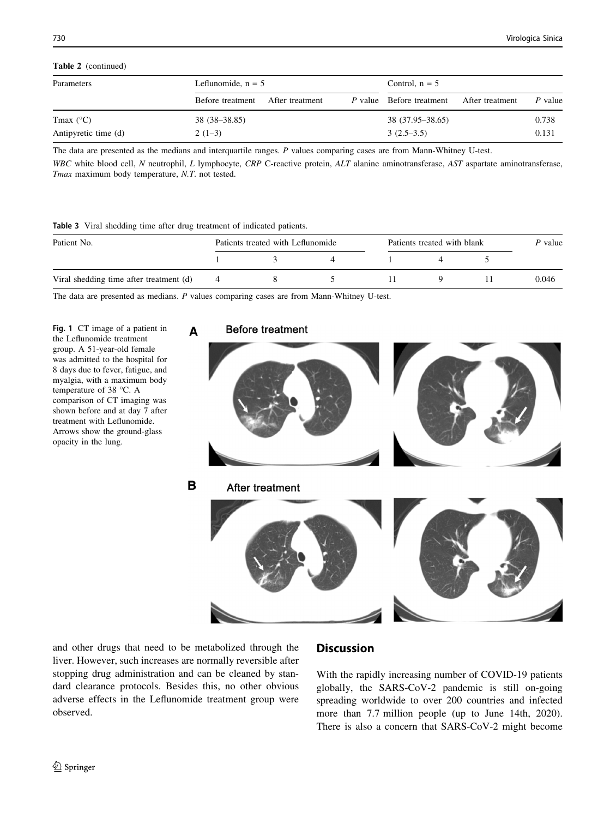# <span id="page-5-0"></span>Table 2 (continued)

| Parameters           | Leflunomide, $n = 5$ |                 | Control, $n = 5$ |                                 |                 |         |
|----------------------|----------------------|-----------------|------------------|---------------------------------|-----------------|---------|
|                      | Before treatment     | After treatment |                  | <i>P</i> value Before treatment | After treatment | P value |
| Tmax $(^{\circ}C)$   | $38(38-38.85)$       |                 |                  | 38 (37.95–38.65)                |                 | 0.738   |
| Antipyretic time (d) | $2(1-3)$             |                 |                  | $3(2.5-3.5)$                    |                 | 0.131   |

The data are presented as the medians and interquartile ranges. P values comparing cases are from Mann-Whitney U-test.

WBC white blood cell, N neutrophil, L lymphocyte, CRP C-reactive protein, ALT alanine aminotransferase, AST aspartate aminotransferase, Tmax maximum body temperature, N.T. not tested.

#### Table 3 Viral shedding time after drug treatment of indicated patients.

| Patient No.                             | Patients treated with Leflunomide |  |  | Patients treated with blank |  |       |
|-----------------------------------------|-----------------------------------|--|--|-----------------------------|--|-------|
|                                         |                                   |  |  |                             |  |       |
| Viral shedding time after treatment (d) |                                   |  |  |                             |  | 0.046 |

The data are presented as medians. P values comparing cases are from Mann-Whitney U-test.

Fig. 1 CT image of a patient in the Leflunomide treatment group. A 51-year-old female was admitted to the hospital for 8 days due to fever, fatigue, and myalgia, with a maximum body temperature of 38 °C. A comparison of CT imaging was shown before and at day 7 after treatment with Leflunomide. Arrows show the ground-glass opacity in the lung.

# **Before treatment**



and other drugs that need to be metabolized through the liver. However, such increases are normally reversible after stopping drug administration and can be cleaned by standard clearance protocols. Besides this, no other obvious adverse effects in the Leflunomide treatment group were observed.

# **Discussion**

With the rapidly increasing number of COVID-19 patients globally, the SARS-CoV-2 pandemic is still on-going spreading worldwide to over 200 countries and infected more than 7.7 million people (up to June 14th, 2020). There is also a concern that SARS-CoV-2 might become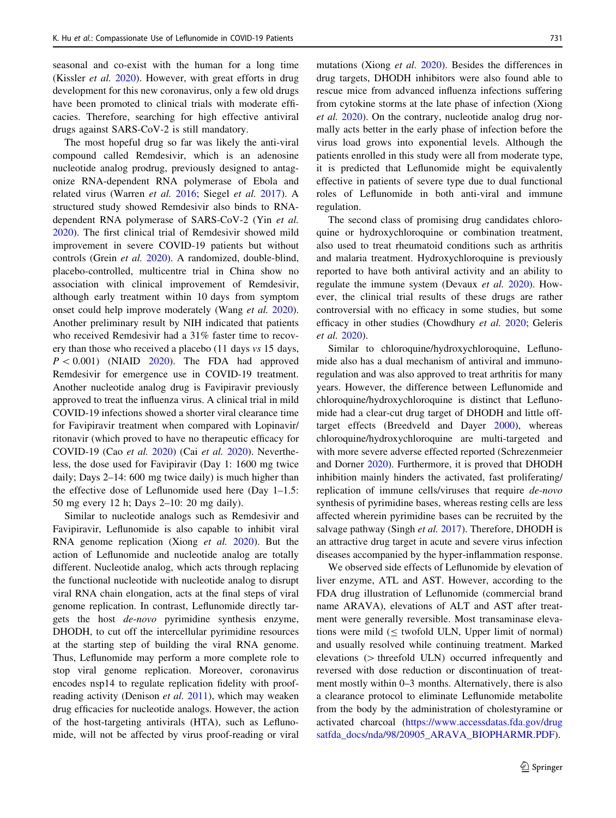seasonal and co-exist with the human for a long time (Kissler et al. [2020\)](#page-7-0). However, with great efforts in drug development for this new coronavirus, only a few old drugs have been promoted to clinical trials with moderate efficacies. Therefore, searching for high effective antiviral drugs against SARS-CoV-2 is still mandatory.

The most hopeful drug so far was likely the anti-viral compound called Remdesivir, which is an adenosine nucleotide analog prodrug, previously designed to antagonize RNA-dependent RNA polymerase of Ebola and related virus (Warren et al. [2016;](#page-8-0) Siegel et al. [2017](#page-8-0)). A structured study showed Remdesivir also binds to RNAdependent RNA polymerase of SARS-CoV-2 (Yin et al. [2020\)](#page-8-0). The first clinical trial of Remdesivir showed mild improvement in severe COVID-19 patients but without controls (Grein et al. [2020\)](#page-7-0). A randomized, double-blind, placebo-controlled, multicentre trial in China show no association with clinical improvement of Remdesivir, although early treatment within 10 days from symptom onset could help improve moderately (Wang *et al.* [2020](#page-8-0)). Another preliminary result by NIH indicated that patients who received Remdesivir had a 31% faster time to recovery than those who received a placebo (11 days vs 15 days,  $P < 0.001$ ) (NIAID [2020\)](#page-8-0). The FDA had approved Remdesivir for emergence use in COVID-19 treatment. Another nucleotide analog drug is Favipiravir previously approved to treat the influenza virus. A clinical trial in mild COVID-19 infections showed a shorter viral clearance time for Favipiravir treatment when compared with Lopinavir/ ritonavir (which proved to have no therapeutic efficacy for COVID-19 (Cao et al. [2020](#page-7-0)) (Cai et al. [2020\)](#page-7-0). Nevertheless, the dose used for Favipiravir (Day 1: 1600 mg twice daily; Days 2–14: 600 mg twice daily) is much higher than the effective dose of Leflunomide used here (Day 1–1.5: 50 mg every 12 h; Days 2–10: 20 mg daily).

Similar to nucleotide analogs such as Remdesivir and Favipiravir, Leflunomide is also capable to inhibit viral RNA genome replication (Xiong et al. [2020\)](#page-8-0). But the action of Leflunomide and nucleotide analog are totally different. Nucleotide analog, which acts through replacing the functional nucleotide with nucleotide analog to disrupt viral RNA chain elongation, acts at the final steps of viral genome replication. In contrast, Leflunomide directly targets the host de-novo pyrimidine synthesis enzyme, DHODH, to cut off the intercellular pyrimidine resources at the starting step of building the viral RNA genome. Thus, Leflunomide may perform a more complete role to stop viral genome replication. Moreover, coronavirus encodes nsp14 to regulate replication fidelity with proof-reading activity (Denison et al. [2011](#page-7-0)), which may weaken drug efficacies for nucleotide analogs. However, the action of the host-targeting antivirals (HTA), such as Leflunomide, will not be affected by virus proof-reading or viral mutations (Xiong et al. [2020](#page-8-0)). Besides the differences in drug targets, DHODH inhibitors were also found able to rescue mice from advanced influenza infections suffering from cytokine storms at the late phase of infection (Xiong et al. [2020\)](#page-8-0). On the contrary, nucleotide analog drug normally acts better in the early phase of infection before the virus load grows into exponential levels. Although the patients enrolled in this study were all from moderate type, it is predicted that Leflunomide might be equivalently effective in patients of severe type due to dual functional roles of Leflunomide in both anti-viral and immune regulation.

The second class of promising drug candidates chloroquine or hydroxychloroquine or combination treatment, also used to treat rheumatoid conditions such as arthritis and malaria treatment. Hydroxychloroquine is previously reported to have both antiviral activity and an ability to regulate the immune system (Devaux et al. [2020\)](#page-7-0). However, the clinical trial results of these drugs are rather controversial with no efficacy in some studies, but some efficacy in other studies (Chowdhury et al. [2020;](#page-7-0) Geleris et al. [2020](#page-7-0)).

Similar to chloroquine/hydroxychloroquine, Leflunomide also has a dual mechanism of antiviral and immunoregulation and was also approved to treat arthritis for many years. However, the difference between Leflunomide and chloroquine/hydroxychloroquine is distinct that Leflunomide had a clear-cut drug target of DHODH and little offtarget effects (Breedveld and Dayer [2000\)](#page-7-0), whereas chloroquine/hydroxychloroquine are multi-targeted and with more severe adverse effected reported (Schrezenmeier and Dorner [2020](#page-8-0)). Furthermore, it is proved that DHODH inhibition mainly hinders the activated, fast proliferating/ replication of immune cells/viruses that require de-novo synthesis of pyrimidine bases, whereas resting cells are less affected wherein pyrimidine bases can be recruited by the salvage pathway (Singh et al. [2017\)](#page-8-0). Therefore, DHODH is an attractive drug target in acute and severe virus infection diseases accompanied by the hyper-inflammation response.

We observed side effects of Leflunomide by elevation of liver enzyme, ATL and AST. However, according to the FDA drug illustration of Leflunomide (commercial brand name ARAVA), elevations of ALT and AST after treatment were generally reversible. Most transaminase elevations were mild  $(\leq$  twofold ULN, Upper limit of normal) and usually resolved while continuing treatment. Marked elevations  $($  threefold ULN) occurred infrequently and reversed with dose reduction or discontinuation of treatment mostly within 0–3 months. Alternatively, there is also a clearance protocol to eliminate Leflunomide metabolite from the body by the administration of cholestyramine or activated charcoal [\(https://www.accessdatas.fda.gov/drug](https://www.accessdatas.fda.gov/drugsatfda_docs/nda/98/20905_ARAVA_BIOPHARMR.PDF) [satfda\\_docs/nda/98/20905\\_ARAVA\\_BIOPHARMR.PDF](https://www.accessdatas.fda.gov/drugsatfda_docs/nda/98/20905_ARAVA_BIOPHARMR.PDF)).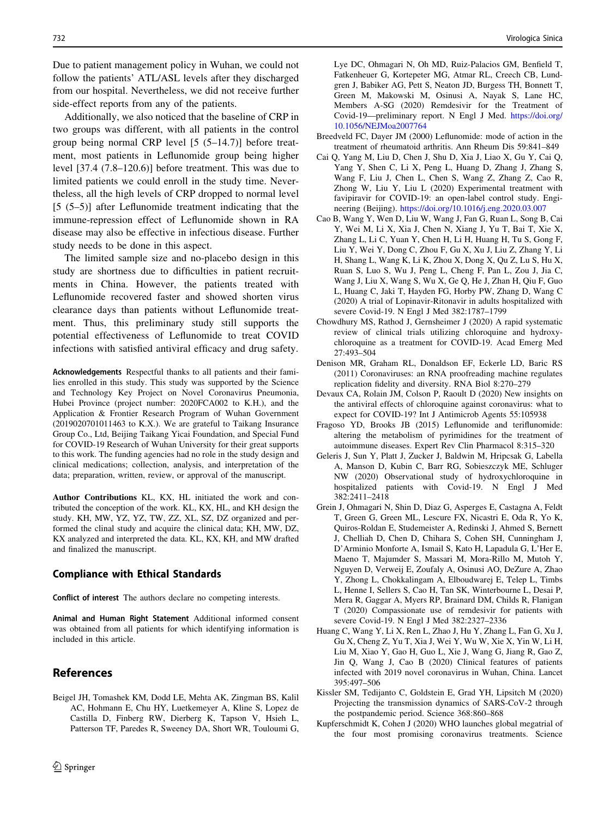<span id="page-7-0"></span>Due to patient management policy in Wuhan, we could not follow the patients' ATL/ASL levels after they discharged from our hospital. Nevertheless, we did not receive further side-effect reports from any of the patients.

Additionally, we also noticed that the baseline of CRP in two groups was different, with all patients in the control group being normal CRP level [5 (5–14.7)] before treatment, most patients in Leflunomide group being higher level [37.4 (7.8–120.6)] before treatment. This was due to limited patients we could enroll in the study time. Nevertheless, all the high levels of CRP dropped to normal level [5 (5–5)] after Leflunomide treatment indicating that the immune-repression effect of Leflunomide shown in RA disease may also be effective in infectious disease. Further study needs to be done in this aspect.

The limited sample size and no-placebo design in this study are shortness due to difficulties in patient recruitments in China. However, the patients treated with Leflunomide recovered faster and showed shorten virus clearance days than patients without Leflunomide treatment. Thus, this preliminary study still supports the potential effectiveness of Leflunomide to treat COVID infections with satisfied antiviral efficacy and drug safety.

Acknowledgements Respectful thanks to all patients and their families enrolled in this study. This study was supported by the Science and Technology Key Project on Novel Coronavirus Pneumonia, Hubei Province (project number: 2020FCA002 to K.H.), and the Application & Frontier Research Program of Wuhan Government (2019020701011463 to K.X.). We are grateful to Taikang Insurance Group Co., Ltd, Beijing Taikang Yicai Foundation, and Special Fund for COVID-19 Research of Wuhan University for their great supports to this work. The funding agencies had no role in the study design and clinical medications; collection, analysis, and interpretation of the data; preparation, written, review, or approval of the manuscript.

Author Contributions KL, KX, HL initiated the work and contributed the conception of the work. KL, KX, HL, and KH design the study. KH, MW, YZ, YZ, TW, ZZ, XL, SZ, DZ organized and performed the clinal study and acquire the clinical data; KH, MW, DZ, KX analyzed and interpreted the data. KL, KX, KH, and MW drafted and finalized the manuscript.

## Compliance with Ethical Standards

Conflict of interest The authors declare no competing interests.

Animal and Human Right Statement Additional informed consent was obtained from all patients for which identifying information is included in this article.

# References

Beigel JH, Tomashek KM, Dodd LE, Mehta AK, Zingman BS, Kalil AC, Hohmann E, Chu HY, Luetkemeyer A, Kline S, Lopez de Castilla D, Finberg RW, Dierberg K, Tapson V, Hsieh L, Patterson TF, Paredes R, Sweeney DA, Short WR, Touloumi G, Lye DC, Ohmagari N, Oh MD, Ruiz-Palacios GM, Benfield T, Fatkenheuer G, Kortepeter MG, Atmar RL, Creech CB, Lundgren J, Babiker AG, Pett S, Neaton JD, Burgess TH, Bonnett T, Green M, Makowski M, Osinusi A, Nayak S, Lane HC, Members A-SG (2020) Remdesivir for the Treatment of Covid-19—preliminary report. N Engl J Med. [https://doi.org/](https://doi.org/10.1056/NEJMoa2007764) [10.1056/NEJMoa2007764](https://doi.org/10.1056/NEJMoa2007764)

- Breedveld FC, Dayer JM (2000) Leflunomide: mode of action in the treatment of rheumatoid arthritis. Ann Rheum Dis 59:841–849
- Cai Q, Yang M, Liu D, Chen J, Shu D, Xia J, Liao X, Gu Y, Cai Q, Yang Y, Shen C, Li X, Peng L, Huang D, Zhang J, Zhang S, Wang F, Liu J, Chen L, Chen S, Wang Z, Zhang Z, Cao R, Zhong W, Liu Y, Liu L (2020) Experimental treatment with favipiravir for COVID-19: an open-label control study. Engineering (Beijing). <https://doi.org/10.1016/j.eng.2020.03.007>
- Cao B, Wang Y, Wen D, Liu W, Wang J, Fan G, Ruan L, Song B, Cai Y, Wei M, Li X, Xia J, Chen N, Xiang J, Yu T, Bai T, Xie X, Zhang L, Li C, Yuan Y, Chen H, Li H, Huang H, Tu S, Gong F, Liu Y, Wei Y, Dong C, Zhou F, Gu X, Xu J, Liu Z, Zhang Y, Li H, Shang L, Wang K, Li K, Zhou X, Dong X, Qu Z, Lu S, Hu X, Ruan S, Luo S, Wu J, Peng L, Cheng F, Pan L, Zou J, Jia C, Wang J, Liu X, Wang S, Wu X, Ge Q, He J, Zhan H, Qiu F, Guo L, Huang C, Jaki T, Hayden FG, Horby PW, Zhang D, Wang C (2020) A trial of Lopinavir-Ritonavir in adults hospitalized with severe Covid-19. N Engl J Med 382:1787–1799
- Chowdhury MS, Rathod J, Gernsheimer J (2020) A rapid systematic review of clinical trials utilizing chloroquine and hydroxychloroquine as a treatment for COVID-19. Acad Emerg Med 27:493–504
- Denison MR, Graham RL, Donaldson EF, Eckerle LD, Baric RS (2011) Coronaviruses: an RNA proofreading machine regulates replication fidelity and diversity. RNA Biol 8:270–279
- Devaux CA, Rolain JM, Colson P, Raoult D (2020) New insights on the antiviral effects of chloroquine against coronavirus: what to expect for COVID-19? Int J Antimicrob Agents 55:105938
- Fragoso YD, Brooks JB (2015) Leflunomide and teriflunomide: altering the metabolism of pyrimidines for the treatment of autoimmune diseases. Expert Rev Clin Pharmacol 8:315–320
- Geleris J, Sun Y, Platt J, Zucker J, Baldwin M, Hripcsak G, Labella A, Manson D, Kubin C, Barr RG, Sobieszczyk ME, Schluger NW (2020) Observational study of hydroxychloroquine in hospitalized patients with Covid-19. N Engl J Med 382:2411–2418
- Grein J, Ohmagari N, Shin D, Diaz G, Asperges E, Castagna A, Feldt T, Green G, Green ML, Lescure FX, Nicastri E, Oda R, Yo K, Quiros-Roldan E, Studemeister A, Redinski J, Ahmed S, Bernett J, Chelliah D, Chen D, Chihara S, Cohen SH, Cunningham J, D'Arminio Monforte A, Ismail S, Kato H, Lapadula G, L'Her E, Maeno T, Majumder S, Massari M, Mora-Rillo M, Mutoh Y, Nguyen D, Verweij E, Zoufaly A, Osinusi AO, DeZure A, Zhao Y, Zhong L, Chokkalingam A, Elboudwarej E, Telep L, Timbs L, Henne I, Sellers S, Cao H, Tan SK, Winterbourne L, Desai P, Mera R, Gaggar A, Myers RP, Brainard DM, Childs R, Flanigan T (2020) Compassionate use of remdesivir for patients with severe Covid-19. N Engl J Med 382:2327–2336
- Huang C, Wang Y, Li X, Ren L, Zhao J, Hu Y, Zhang L, Fan G, Xu J, Gu X, Cheng Z, Yu T, Xia J, Wei Y, Wu W, Xie X, Yin W, Li H, Liu M, Xiao Y, Gao H, Guo L, Xie J, Wang G, Jiang R, Gao Z, Jin Q, Wang J, Cao B (2020) Clinical features of patients infected with 2019 novel coronavirus in Wuhan, China. Lancet 395:497–506
- Kissler SM, Tedijanto C, Goldstein E, Grad YH, Lipsitch M (2020) Projecting the transmission dynamics of SARS-CoV-2 through the postpandemic period. Science 368:860–868
- Kupferschmidt K, Cohen J (2020) WHO launches global megatrial of the four most promising coronavirus treatments. Science